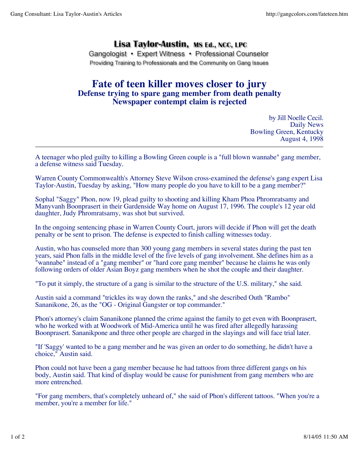## Lisa Taylor-Austin, MS Ed., NCC, LPC

Gangologist • Expert Witness • Professional Counselor Providing Training to Professionals and the Community on Gang Issues

## **Fate of teen killer moves closer to jury Defense trying to spare gang member from death penalty Newspaper contempt claim is rejected**

by Jill Noelle Cecil. Daily News Bowling Green, Kentucky August 4, 1998

A teenager who pled guilty to killing a Bowling Green couple is a "full blown wannabe" gang member, a defense witness said Tuesday.

Warren County Commonwealth's Attorney Steve Wilson cross-examined the defense's gang expert Lisa Taylor-Austin, Tuesday by asking, "How many people do you have to kill to be a gang member?"

Sophal "Saggy" Phon, now 19, plead guilty to shooting and killing Kham Phoa Phromratsamy and Manyvanh Boonprasert in their Gardenside Way home on August 17, 1996. The couple's 12 year old daughter, Judy Phromratsamy, was shot but survived.

In the ongoing sentencing phase in Warren County Court, jurors will decide if Phon will get the death penalty or be sent to prison. The defense is expected to finish calling witnesses today.

Austin, who has counseled more than 300 young gang members in several states during the past ten years, said Phon falls in the middle level of the five levels of gang involvement. She defines him as a "wannabe" instead of a "gang member" or "hard core gang member" because he claims he was only following orders of older Asian Boyz gang members when he shot the couple and their daughter.

"To put it simply, the structure of a gang is similar to the structure of the U.S. military," she said.

Austin said a command "trickles its way down the ranks," and she described Outh "Rambo" Sananikone, 26, as the "OG - Original Gangster or top commander."

Phon's attorney's claim Sananikone planned the crime against the family to get even with Boonprasert, who he worked with at Woodwork of Mid-America until he was fired after allegedly harassing Boonprasert. Sananikpone and three other people are charged in the slayings and will face trial later.

"If 'Saggy' wanted to be a gang member and he was given an order to do something, he didn't have a choice," Austin said.

Phon could not have been a gang member because he had tattoos from three different gangs on his body, Austin said. That kind of display would be cause for punishment from gang members who are more entrenched.

"For gang members, that's completely unheard of," she said of Phon's different tattoos. "When you're a member, you're a member for life."